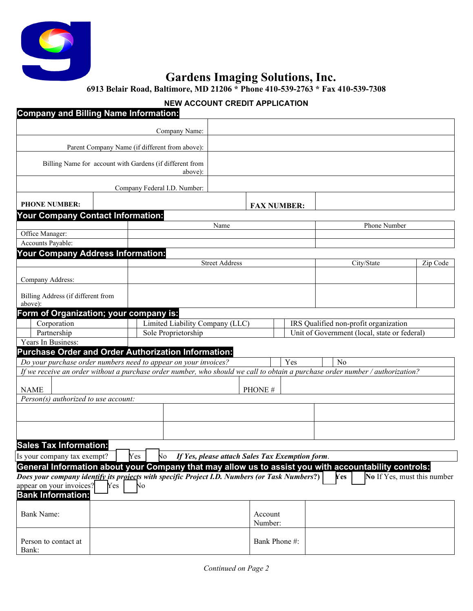

# **Gardens Imaging Solutions, Inc.**

**6913 Belair Road, Baltimore, MD 21206 \* Phone 410-539-2763 \* Fax 410-539-7308** 

### **NEW ACCOUNT CREDIT APPLICATION**

| Company and Billing Name Information:             |                                                                                                                                                                                                       |         |                    |  |                                                                                       |                             |  |
|---------------------------------------------------|-------------------------------------------------------------------------------------------------------------------------------------------------------------------------------------------------------|---------|--------------------|--|---------------------------------------------------------------------------------------|-----------------------------|--|
|                                                   | Company Name:                                                                                                                                                                                         |         |                    |  |                                                                                       |                             |  |
|                                                   | Parent Company Name (if different from above):                                                                                                                                                        |         |                    |  |                                                                                       |                             |  |
|                                                   |                                                                                                                                                                                                       |         |                    |  |                                                                                       |                             |  |
|                                                   | Billing Name for account with Gardens (if different from<br>above):                                                                                                                                   |         |                    |  |                                                                                       |                             |  |
|                                                   | Company Federal I.D. Number:                                                                                                                                                                          |         |                    |  |                                                                                       |                             |  |
| <b>PHONE NUMBER:</b>                              |                                                                                                                                                                                                       |         | <b>FAX NUMBER:</b> |  |                                                                                       |                             |  |
| Your Company Contact Information:                 |                                                                                                                                                                                                       |         |                    |  |                                                                                       |                             |  |
|                                                   |                                                                                                                                                                                                       | Name    |                    |  | Phone Number                                                                          |                             |  |
| Office Manager:                                   |                                                                                                                                                                                                       |         |                    |  |                                                                                       |                             |  |
| Accounts Payable:                                 |                                                                                                                                                                                                       |         |                    |  |                                                                                       |                             |  |
| Your Company Address Information:                 |                                                                                                                                                                                                       |         |                    |  |                                                                                       |                             |  |
|                                                   | <b>Street Address</b>                                                                                                                                                                                 |         |                    |  | City/State                                                                            | Zip Code                    |  |
| Company Address:                                  |                                                                                                                                                                                                       |         |                    |  |                                                                                       |                             |  |
|                                                   |                                                                                                                                                                                                       |         |                    |  |                                                                                       |                             |  |
| Billing Address (if different from                |                                                                                                                                                                                                       |         |                    |  |                                                                                       |                             |  |
| above):                                           |                                                                                                                                                                                                       |         |                    |  |                                                                                       |                             |  |
| Form of Organization; your company is:            |                                                                                                                                                                                                       |         |                    |  |                                                                                       |                             |  |
| Corporation<br>Partnership                        | Limited Liability Company (LLC)<br>Sole Proprietorship                                                                                                                                                |         |                    |  | IRS Qualified non-profit organization<br>Unit of Government (local, state or federal) |                             |  |
| Years In Business:                                |                                                                                                                                                                                                       |         |                    |  |                                                                                       |                             |  |
|                                                   | <b>Purchase Order and Order Authorization Information:</b>                                                                                                                                            |         |                    |  |                                                                                       |                             |  |
|                                                   | Do your purchase order numbers need to appear on your invoices?                                                                                                                                       |         | Yes                |  | N <sub>0</sub>                                                                        |                             |  |
|                                                   | If we receive an order without a purchase order number, who should we call to obtain a purchase order number / authorization?                                                                         |         |                    |  |                                                                                       |                             |  |
|                                                   |                                                                                                                                                                                                       |         |                    |  |                                                                                       |                             |  |
| <b>NAME</b>                                       |                                                                                                                                                                                                       | PHONE#  |                    |  |                                                                                       |                             |  |
| $\overline{Person(s)}$ authorized to use account: |                                                                                                                                                                                                       |         |                    |  |                                                                                       |                             |  |
|                                                   |                                                                                                                                                                                                       |         |                    |  |                                                                                       |                             |  |
|                                                   |                                                                                                                                                                                                       |         |                    |  |                                                                                       |                             |  |
|                                                   |                                                                                                                                                                                                       |         |                    |  |                                                                                       |                             |  |
| <b>Sales Tax Information:</b>                     |                                                                                                                                                                                                       |         |                    |  |                                                                                       |                             |  |
|                                                   |                                                                                                                                                                                                       |         |                    |  |                                                                                       |                             |  |
| Is your company tax exempt?                       | Yes<br>No If Yes, please attach Sales Tax Exemption form.                                                                                                                                             |         |                    |  |                                                                                       |                             |  |
|                                                   | General Information about your Company that may allow us to assist you with accountability controls:<br>Does your company identify its projects with specific Project I.D. Numbers (or Task Numbers?) |         |                    |  | <b>Yes</b>                                                                            | No If Yes, must this number |  |
| appear on your invoices?<br>Yes                   | No                                                                                                                                                                                                    |         |                    |  |                                                                                       |                             |  |
| <b>Bank Information:</b>                          |                                                                                                                                                                                                       |         |                    |  |                                                                                       |                             |  |
|                                                   |                                                                                                                                                                                                       |         |                    |  |                                                                                       |                             |  |
| Bank Name:                                        |                                                                                                                                                                                                       | Account |                    |  |                                                                                       |                             |  |
|                                                   |                                                                                                                                                                                                       | Number: |                    |  |                                                                                       |                             |  |
|                                                   |                                                                                                                                                                                                       |         |                    |  |                                                                                       |                             |  |
| Person to contact at<br>Bank:                     |                                                                                                                                                                                                       |         | Bank Phone #:      |  |                                                                                       |                             |  |